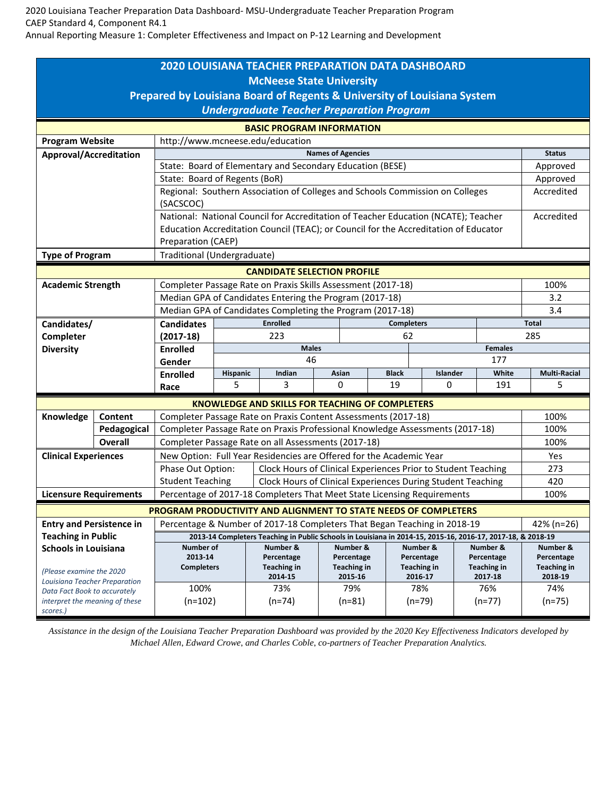2020 Louisiana Teacher Preparation Data Dashboard- MSU-Undergraduate Teacher Preparation Program CAEP Standard 4, Component R4.1

Annual Reporting Measure 1: Completer Effectiveness and Impact on P-12 Learning and Development

| <b>2020 LOUISIANA TEACHER PREPARATION DATA DASHBOARD</b><br><b>McNeese State University</b><br>Prepared by Louisiana Board of Regents & University of Louisiana System<br><b>Undergraduate Teacher Preparation Program</b> |                |                                                                                                                                                                                         |                                      |                                                        |         |            |                                                                |          |                               |            |                               |  |
|----------------------------------------------------------------------------------------------------------------------------------------------------------------------------------------------------------------------------|----------------|-----------------------------------------------------------------------------------------------------------------------------------------------------------------------------------------|--------------------------------------|--------------------------------------------------------|---------|------------|----------------------------------------------------------------|----------|-------------------------------|------------|-------------------------------|--|
| <b>BASIC PROGRAM INFORMATION</b>                                                                                                                                                                                           |                |                                                                                                                                                                                         |                                      |                                                        |         |            |                                                                |          |                               |            |                               |  |
| <b>Program Website</b><br>http://www.mcneese.edu/education                                                                                                                                                                 |                |                                                                                                                                                                                         |                                      |                                                        |         |            |                                                                |          |                               |            |                               |  |
| <b>Approval/Accreditation</b>                                                                                                                                                                                              |                | <b>Names of Agencies</b>                                                                                                                                                                |                                      |                                                        |         |            |                                                                |          |                               |            |                               |  |
|                                                                                                                                                                                                                            |                | State: Board of Elementary and Secondary Education (BESE)                                                                                                                               |                                      |                                                        |         |            |                                                                |          |                               |            | Approved                      |  |
|                                                                                                                                                                                                                            |                | State: Board of Regents (BoR)                                                                                                                                                           |                                      |                                                        |         |            |                                                                |          |                               |            | Approved                      |  |
|                                                                                                                                                                                                                            |                | Regional: Southern Association of Colleges and Schools Commission on Colleges<br>(SACSCOC)                                                                                              |                                      |                                                        |         |            |                                                                |          |                               | Accredited |                               |  |
|                                                                                                                                                                                                                            |                | National: National Council for Accreditation of Teacher Education (NCATE); Teacher                                                                                                      |                                      |                                                        |         |            |                                                                |          |                               | Accredited |                               |  |
|                                                                                                                                                                                                                            |                | Education Accreditation Council (TEAC); or Council for the Accreditation of Educator<br>Preparation (CAEP)                                                                              |                                      |                                                        |         |            |                                                                |          |                               |            |                               |  |
| <b>Type of Program</b>                                                                                                                                                                                                     |                | Traditional (Undergraduate)                                                                                                                                                             |                                      |                                                        |         |            |                                                                |          |                               |            |                               |  |
| <b>CANDIDATE SELECTION PROFILE</b>                                                                                                                                                                                         |                |                                                                                                                                                                                         |                                      |                                                        |         |            |                                                                |          |                               |            |                               |  |
| <b>Academic Strength</b>                                                                                                                                                                                                   |                | Completer Passage Rate on Praxis Skills Assessment (2017-18)                                                                                                                            |                                      |                                                        |         |            |                                                                |          |                               |            | 100%                          |  |
|                                                                                                                                                                                                                            |                | Median GPA of Candidates Entering the Program (2017-18)                                                                                                                                 |                                      |                                                        |         |            |                                                                |          |                               |            | 3.2                           |  |
|                                                                                                                                                                                                                            |                | Median GPA of Candidates Completing the Program (2017-18)                                                                                                                               |                                      |                                                        |         |            |                                                                |          |                               |            | 3.4                           |  |
| Candidates/                                                                                                                                                                                                                |                | <b>Candidates</b>                                                                                                                                                                       | <b>Enrolled</b><br><b>Completers</b> |                                                        |         |            |                                                                |          | <b>Total</b>                  |            |                               |  |
| Completer                                                                                                                                                                                                                  |                | $(2017-18)$                                                                                                                                                                             | 223                                  |                                                        |         | 62         |                                                                |          |                               |            | 285                           |  |
| <b>Diversity</b>                                                                                                                                                                                                           |                | <b>Enrolled</b>                                                                                                                                                                         | <b>Males</b><br><b>Females</b>       |                                                        |         |            |                                                                |          |                               |            |                               |  |
|                                                                                                                                                                                                                            |                | Gender                                                                                                                                                                                  | 46                                   |                                                        |         |            | 177                                                            |          |                               |            |                               |  |
|                                                                                                                                                                                                                            |                | <b>Enrolled</b>                                                                                                                                                                         | Hispanic                             | Indian                                                 |         | Asian      | <b>Black</b>                                                   | Islander |                               | White      | <b>Multi-Racial</b>           |  |
|                                                                                                                                                                                                                            |                | Race                                                                                                                                                                                    | 5                                    | 3                                                      |         | 0          | 19                                                             | 0        |                               | 191        | 5                             |  |
|                                                                                                                                                                                                                            |                |                                                                                                                                                                                         |                                      | <b>KNOWLEDGE AND SKILLS FOR TEACHING OF COMPLETERS</b> |         |            |                                                                |          |                               |            |                               |  |
| Knowledge                                                                                                                                                                                                                  | Content        | Completer Passage Rate on Praxis Content Assessments (2017-18)                                                                                                                          |                                      |                                                        |         |            |                                                                |          |                               |            | 100%<br>100%                  |  |
|                                                                                                                                                                                                                            | Pedagogical    | Completer Passage Rate on Praxis Professional Knowledge Assessments (2017-18)                                                                                                           |                                      |                                                        |         |            |                                                                |          |                               |            |                               |  |
|                                                                                                                                                                                                                            | <b>Overall</b> | Completer Passage Rate on all Assessments (2017-18)                                                                                                                                     | 100%                                 |                                                        |         |            |                                                                |          |                               |            |                               |  |
| <b>Clinical Experiences</b>                                                                                                                                                                                                |                | New Option: Full Year Residencies are Offered for the Academic Year                                                                                                                     |                                      |                                                        |         |            |                                                                |          |                               |            | Yes                           |  |
|                                                                                                                                                                                                                            |                | Phase Out Option:<br>Clock Hours of Clinical Experiences Prior to Student Teaching<br><b>Student Teaching</b><br>Clock Hours of Clinical Experiences During Student Teaching            |                                      |                                                        |         |            |                                                                |          |                               |            | 273                           |  |
| <b>Licensure Requirements</b>                                                                                                                                                                                              |                | Percentage of 2017-18 Completers That Meet State Licensing Requirements                                                                                                                 |                                      |                                                        |         |            |                                                                |          |                               | 420        |                               |  |
| 100%                                                                                                                                                                                                                       |                |                                                                                                                                                                                         |                                      |                                                        |         |            |                                                                |          |                               |            |                               |  |
| PROGRAM PRODUCTIVITY AND ALIGNMENT TO STATE NEEDS OF COMPLETERS<br>42% (n=26)                                                                                                                                              |                |                                                                                                                                                                                         |                                      |                                                        |         |            |                                                                |          |                               |            |                               |  |
| <b>Entry and Persistence in</b><br><b>Teaching in Public</b>                                                                                                                                                               |                | Percentage & Number of 2017-18 Completers That Began Teaching in 2018-19<br>2013-14 Completers Teaching in Public Schools in Louisiana in 2014-15, 2015-16, 2016-17, 2017-18, & 2018-19 |                                      |                                                        |         |            |                                                                |          |                               |            |                               |  |
| <b>Schools in Louisiana</b>                                                                                                                                                                                                |                | Number of                                                                                                                                                                               |                                      | Number &                                               |         | Number &   |                                                                | Number & |                               | Number &   | Number &                      |  |
|                                                                                                                                                                                                                            |                | 2013-14                                                                                                                                                                                 |                                      | Percentage                                             |         | Percentage | Percentage                                                     |          | Percentage                    |            | Percentage                    |  |
| (Please examine the 2020                                                                                                                                                                                                   |                | <b>Completers</b>                                                                                                                                                                       |                                      | Teaching in                                            | 2014-15 |            | <b>Teaching in</b><br><b>Teaching in</b><br>2015-16<br>2016-17 |          | <b>Teaching in</b><br>2017-18 |            | <b>Teaching in</b><br>2018-19 |  |
| Louisiana Teacher Preparation                                                                                                                                                                                              |                | 100%                                                                                                                                                                                    |                                      | 73%                                                    |         | 79%        | 78%                                                            |          | 76%                           |            | 74%                           |  |
| Data Fact Book to accurately<br>interpret the meaning of these<br>scores.)                                                                                                                                                 |                | $(n=102)$                                                                                                                                                                               |                                      | $(n=74)$                                               |         | $(n=81)$   | $(n=79)$                                                       |          | $(n=77)$                      |            | $(n=75)$                      |  |

*Assistance in the design of the Louisiana Teacher Preparation Dashboard was provided by the 2020 Key Effectiveness Indicators developed by Michael Allen, Edward Crowe, and Charles Coble, co-partners of Teacher Preparation Analytics.*